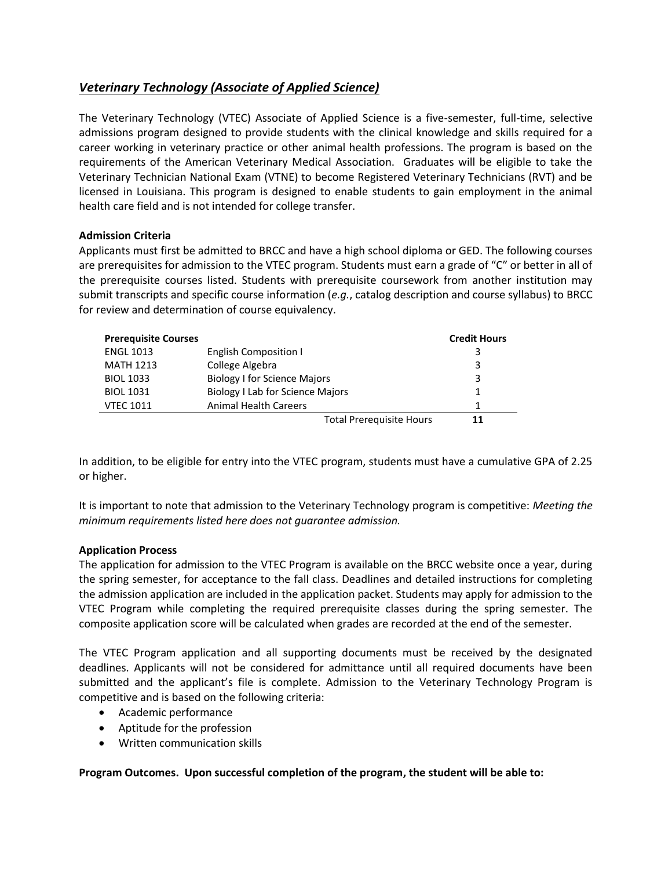## <span id="page-0-0"></span>*[Veterinary Technology \(Associate of Applied Science\)](#page-0-0)*

The Veterinary Technology (VTEC) Associate of Applied Science is a five-semester, full-time, selective admissions program designed to provide students with the clinical knowledge and skills required for a career working in veterinary practice or other animal health professions. The program is based on the requirements of the American Veterinary Medical Association. Graduates will be eligible to take the Veterinary Technician National Exam (VTNE) to become Registered Veterinary Technicians (RVT) and be licensed in Louisiana. This program is designed to enable students to gain employment in the animal health care field and is not intended for college transfer.

## **Admission Criteria**

Applicants must first be admitted to BRCC and have a high school diploma or GED. The following courses are prerequisites for admission to the VTEC program. Students must earn a grade of "C" or better in all of the prerequisite courses listed. Students with prerequisite coursework from another institution may submit transcripts and specific course information (*e.g.*, catalog description and course syllabus) to BRCC for review and determination of course equivalency.

| <b>Prerequisite Courses</b> |                                         | <b>Credit Hours</b> |
|-----------------------------|-----------------------------------------|---------------------|
| <b>ENGL 1013</b>            | <b>English Composition I</b>            | 3                   |
| <b>MATH 1213</b>            | College Algebra                         | 3                   |
| <b>BIOL 1033</b>            | <b>Biology I for Science Majors</b>     | 3                   |
| <b>BIOL 1031</b>            | <b>Biology I Lab for Science Majors</b> |                     |
| <b>VTEC 1011</b>            | <b>Animal Health Careers</b>            |                     |
|                             | <b>Total Prerequisite Hours</b>         | 11                  |

In addition, to be eligible for entry into the VTEC program, students must have a cumulative GPA of 2.25 or higher.

It is important to note that admission to the Veterinary Technology program is competitive: *Meeting the minimum requirements listed here does not guarantee admission.*

## **Application Process**

The application for admission to the VTEC Program is available on the BRCC website once a year, during the spring semester, for acceptance to the fall class. Deadlines and detailed instructions for completing the admission application are included in the application packet. Students may apply for admission to the VTEC Program while completing the required prerequisite classes during the spring semester. The composite application score will be calculated when grades are recorded at the end of the semester.

The VTEC Program application and all supporting documents must be received by the designated deadlines. Applicants will not be considered for admittance until all required documents have been submitted and the applicant's file is complete. Admission to the Veterinary Technology Program is competitive and is based on the following criteria:

- Academic performance
- Aptitude for the profession
- Written communication skills

**Program Outcomes. Upon successful completion of the program, the student will be able to:**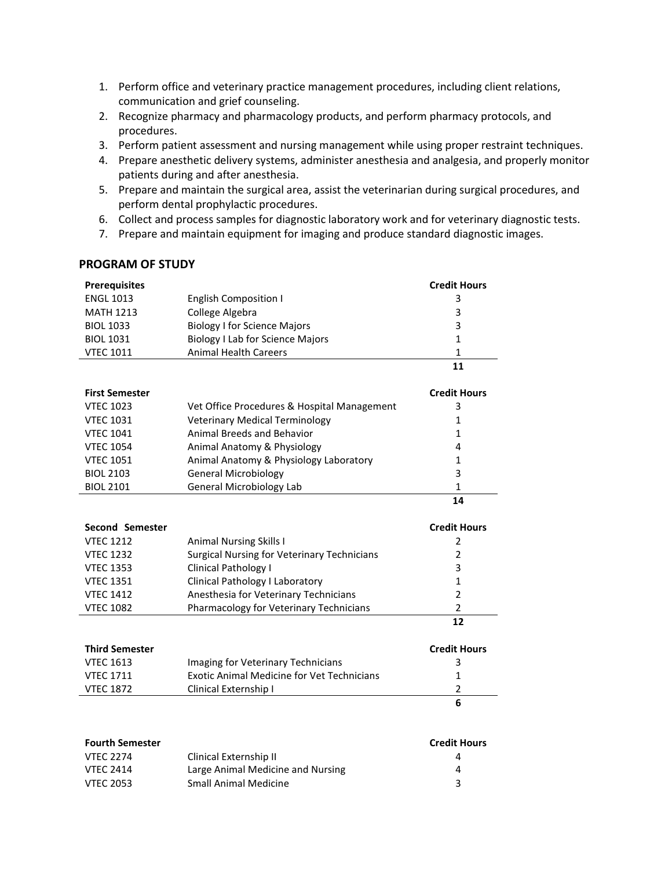- 1. Perform office and veterinary practice management procedures, including client relations, communication and grief counseling.
- 2. Recognize pharmacy and pharmacology products, and perform pharmacy protocols, and procedures.
- 3. Perform patient assessment and nursing management while using proper restraint techniques.
- 4. Prepare anesthetic delivery systems, administer anesthesia and analgesia, and properly monitor patients during and after anesthesia.
- 5. Prepare and maintain the surgical area, assist the veterinarian during surgical procedures, and perform dental prophylactic procedures.
- 6. Collect and process samples for diagnostic laboratory work and for veterinary diagnostic tests.
- 7. Prepare and maintain equipment for imaging and produce standard diagnostic images.

## **PROGRAM OF STUDY**

| <b>Prerequisites</b>  |                                                   | <b>Credit Hours</b> |
|-----------------------|---------------------------------------------------|---------------------|
| <b>ENGL 1013</b>      | <b>English Composition I</b>                      | 3                   |
| <b>MATH 1213</b>      | College Algebra                                   | 3                   |
| <b>BIOL 1033</b>      | <b>Biology I for Science Majors</b>               | 3                   |
| <b>BIOL 1031</b>      | <b>Biology I Lab for Science Majors</b>           | $\mathbf{1}$        |
| <b>VTEC 1011</b>      | <b>Animal Health Careers</b>                      | $\mathbf{1}$        |
|                       |                                                   | 11                  |
| <b>First Semester</b> |                                                   | <b>Credit Hours</b> |
| <b>VTEC 1023</b>      | Vet Office Procedures & Hospital Management       | 3                   |
| <b>VTEC 1031</b>      | <b>Veterinary Medical Terminology</b>             | 1                   |
| <b>VTEC 1041</b>      | Animal Breeds and Behavior                        | $\mathbf{1}$        |
| <b>VTEC 1054</b>      | Animal Anatomy & Physiology                       | 4                   |
| <b>VTEC 1051</b>      | Animal Anatomy & Physiology Laboratory            | $\mathbf{1}$        |
| <b>BIOL 2103</b>      | <b>General Microbiology</b>                       | 3                   |
| <b>BIOL 2101</b>      | <b>General Microbiology Lab</b>                   | $\mathbf{1}$        |
|                       |                                                   | 14                  |
| Second Semester       |                                                   | <b>Credit Hours</b> |
| <b>VTEC 1212</b>      | <b>Animal Nursing Skills I</b>                    | 2                   |
| <b>VTEC 1232</b>      | Surgical Nursing for Veterinary Technicians       | 2                   |
| <b>VTEC 1353</b>      | Clinical Pathology I                              | 3                   |
| <b>VTEC 1351</b>      | Clinical Pathology I Laboratory                   | $\mathbf{1}$        |
| <b>VTEC 1412</b>      | Anesthesia for Veterinary Technicians             | $\overline{2}$      |
| <b>VTEC 1082</b>      | Pharmacology for Veterinary Technicians           | $\overline{2}$      |
|                       |                                                   | 12                  |
| <b>Third Semester</b> |                                                   | <b>Credit Hours</b> |
| <b>VTEC 1613</b>      | Imaging for Veterinary Technicians                | 3                   |
| <b>VTEC 1711</b>      | <b>Exotic Animal Medicine for Vet Technicians</b> | 1                   |
| <b>VTEC 1872</b>      | Clinical Externship I                             | $\overline{2}$      |

| <b>Fourth Semester</b> |                                   | <b>Credit Hours</b> |
|------------------------|-----------------------------------|---------------------|
| VTEC 2274              | Clinical Externship II            | 4                   |
| VTEC 2414              | Large Animal Medicine and Nursing | 4                   |
| VTEC 2053              | Small Animal Medicine             |                     |

**6**